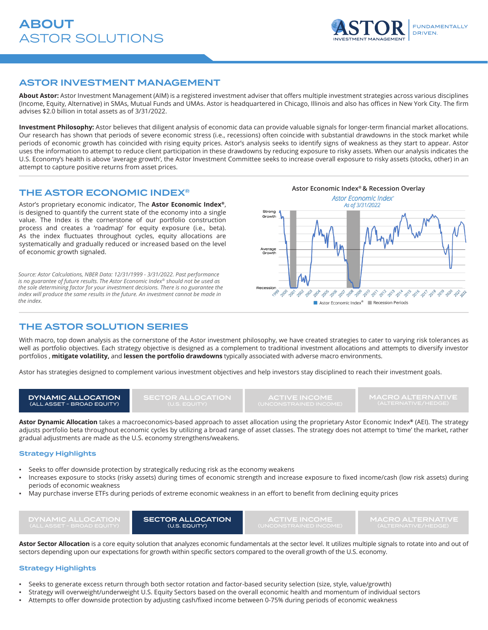

### ASTOR INVESTMENT MANAGEMENT

**About Astor:** Astor Investment Management (AIM) is a registered investment adviser that offers multiple investment strategies across various disciplines (Income, Equity, Alternative) in SMAs, Mutual Funds and UMAs. Astor is headquartered in Chicago, Illinois and also has offices in New York City. The firm advises \$2.0 billion in total assets as of 3/31/2022.

**Investment Philosophy:** Astor believes that diligent analysis of economic data can provide valuable signals for longer-term financial market allocations. Our research has shown that periods of severe economic stress (i.e., recessions) often coincide with substantial drawdowns in the stock market while periods of economic growth has coincided with rising equity prices. Astor's analysis seeks to identify signs of weakness as they start to appear. Astor uses the information to attempt to reduce client participation in these drawdowns by reducing exposure to risky assets. When our analysis indicates the U.S. Economy's health is above 'average growth', the Astor Investment Committee seeks to increase overall exposure to risky assets (stocks, other) in an attempt to capture positive returns from asset prices.

# THE ASTOR ECONOMIC INDEX<sup>®</sup>

Astor's proprietary economic indicator, The **Astor Economic Index®**, is designed to quantify the current state of the economy into a single value. The Index is the cornerstone of our portfolio construction process and creates a 'roadmap' for equity exposure (i.e., beta). As the index fluctuates throughout cycles, equity allocations are systematically and gradually reduced or increased based on the level of economic growth signaled.

*Source: Astor Calculations, NBER Data: 12/31/1999 - 3/31/2022. Past performance is no guarantee of future results. The Astor Economic Index® should not be used as the sole determining factor for your investment decisions. There is no guarantee the index will produce the same results in the future. An investment cannot be made in the index.*



# THE ASTOR SOLUTION SERIES

With macro, top down analysis as the cornerstone of the Astor investment philosophy, we have created strategies to cater to varying risk tolerances as well as portfolio objectives. Each strategy objective is designed as a complement to traditional investment allocations and attempts to diversify investor portfolios , **mitigate volatility,** and **lessen the portfolio drawdowns** typically associated with adverse macro environments.

Astor has strategies designed to complement various investment objectives and help investors stay disciplined to reach their investment goals.

DYNAMIC ALLOCATION (ALL ASSET - BROAD EQUITY)

**SECTOR ALLOCATION**<br>(U.S. EQUITY)

ACTIVE INCOME (UNCONSTRAINED INCOME)

MACRO ALTERNATIVE (ALTERNATIVE/HEDGE)

**Astor Dynamic Allocation** takes a macroeconomics-based approach to asset allocation using the proprietary Astor Economic Index**®** (AEI). The strategy adjusts portfolio beta throughout economic cycles by utilizing a broad range of asset classes. The strategy does not attempt to 'time' the market, rather gradual adjustments are made as the U.S. economy strengthens/weakens.

#### Strategy Highlights

- Seeks to offer downside protection by strategically reducing risk as the economy weakens
- Increases exposure to stocks (risky assets) during times of economic strength and increase exposure to fixed income/cash (low risk assets) during periods of economic weakness
- May purchase inverse ETFs during periods of extreme economic weakness in an effort to benefit from declining equity prices

| DYNAMIC ALLOCATION         | <b>SECTOR ALLOCATION</b> | <b>ACTIVE INCOME</b>   | <b>I MACRO ALTERNATIVE '</b> |
|----------------------------|--------------------------|------------------------|------------------------------|
| (ALL ASSET - BROAD EQUITY) | <b>(U.S. EQUITY)</b>     | (UNCONSTRAINED INCOME) | (ALTERNATIVE/HEDGE)          |

Astor Sector Allocation is a core equity solution that analyzes economic fundamentals at the sector level. It utilizes multiple signals to rotate into and out of sectors depending upon our expectations for growth within specific sectors compared to the overall growth of the U.S. economy.

#### Strategy Highlights

- Seeks to generate excess return through both sector rotation and factor-based security selection (size, style, value/growth)
- Strategy will overweight/underweight U.S. Equity Sectors based on the overall economic health and momentum of individual sectors
- Attempts to offer downside protection by adjusting cash/fixed income between 0-75% during periods of economic weakness